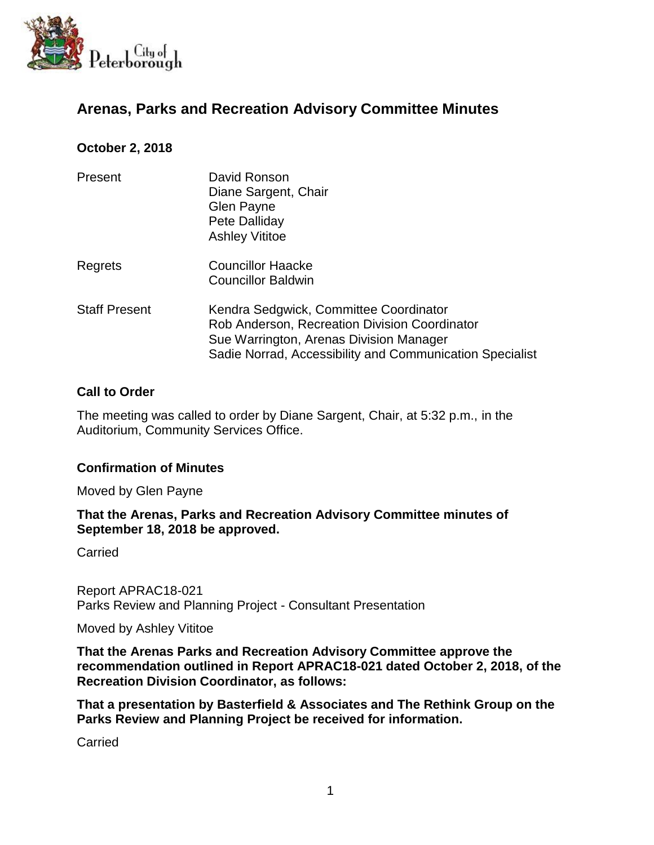

# **Arenas, Parks and Recreation Advisory Committee Minutes**

### **October 2, 2018**

| Present              | David Ronson<br>Diane Sargent, Chair<br>Glen Payne<br>Pete Dalliday<br><b>Ashley Vititoe</b>                                                                                                   |
|----------------------|------------------------------------------------------------------------------------------------------------------------------------------------------------------------------------------------|
| Regrets              | <b>Councillor Haacke</b><br><b>Councillor Baldwin</b>                                                                                                                                          |
| <b>Staff Present</b> | Kendra Sedgwick, Committee Coordinator<br>Rob Anderson, Recreation Division Coordinator<br>Sue Warrington, Arenas Division Manager<br>Sadie Norrad, Accessibility and Communication Specialist |

#### **Call to Order**

The meeting was called to order by Diane Sargent, Chair, at 5:32 p.m., in the Auditorium, Community Services Office.

#### **Confirmation of Minutes**

Moved by Glen Payne

#### **That the Arenas, Parks and Recreation Advisory Committee minutes of September 18, 2018 be approved.**

Carried

Report APRAC18-021 Parks Review and Planning Project - Consultant Presentation

Moved by Ashley Vititoe

**That the Arenas Parks and Recreation Advisory Committee approve the recommendation outlined in Report APRAC18-021 dated October 2, 2018, of the Recreation Division Coordinator, as follows:**

**That a presentation by Basterfield & Associates and The Rethink Group on the Parks Review and Planning Project be received for information.** 

**Carried**